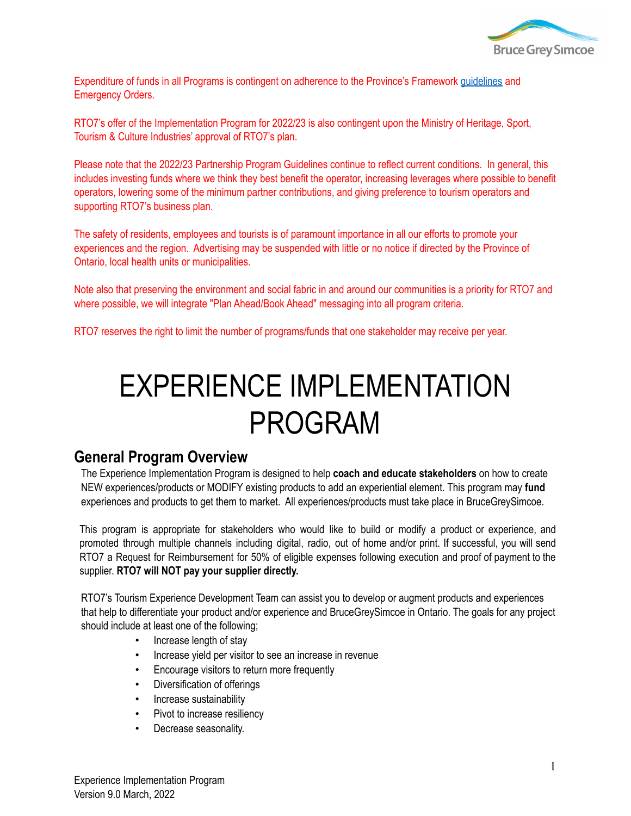

Expenditure of funds in all Programs is contingent on adherence to the Province's Framework [guidelines](https://covid-19.ontario.ca/public-health-measures) and Emergency Orders.

RTO7's offer of the Implementation Program for 2022/23 is also contingent upon the Ministry of Heritage, Sport, Tourism & Culture Industries' approval of RTO7's plan.

Please note that the 2022/23 Partnership Program Guidelines continue to reflect current conditions. In general, this includes investing funds where we think they best benefit the operator, increasing leverages where possible to benefit operators, lowering some of the minimum partner contributions, and giving preference to tourism operators and supporting RTO7's business plan.

The safety of residents, employees and tourists is of paramount importance in all our efforts to promote your experiences and the region. Advertising may be suspended with little or no notice if directed by the Province of Ontario, local health units or municipalities.

Note also that preserving the environment and social fabric in and around our communities is a priority for RTO7 and where possible, we will integrate "Plan Ahead/Book Ahead" messaging into all program criteria.

RTO7 reserves the right to limit the number of programs/funds that one stakeholder may receive per year.

# EXPERIENCE IMPLEMENTATION PROGRAM

## **General Program Overview**

The Experience Implementation Program is designed to help **coach and educate stakeholders** on how to create NEW experiences/products or MODIFY existing products to add an experiential element. This program may **fund** experiences and products to get them to market. All experiences/products must take place in BruceGreySimcoe.

This program is appropriate for stakeholders who would like to build or modify a product or experience, and promoted through multiple channels including digital, radio, out of home and/or print. If successful, you will send RTO7 a Request for Reimbursement for 50% of eligible expenses following execution and proof of payment to the supplier. **RTO7 will NOT pay your supplier directly.**

RTO7's Tourism Experience Development Team can assist you to develop or augment products and experiences that help to differentiate your product and/or experience and BruceGreySimcoe in Ontario. The goals for any project should include at least one of the following;

- Increase length of stay
- Increase yield per visitor to see an increase in revenue
- Encourage visitors to return more frequently
- Diversification of offerings
- Increase sustainability
- Pivot to increase resiliency
- Decrease seasonality.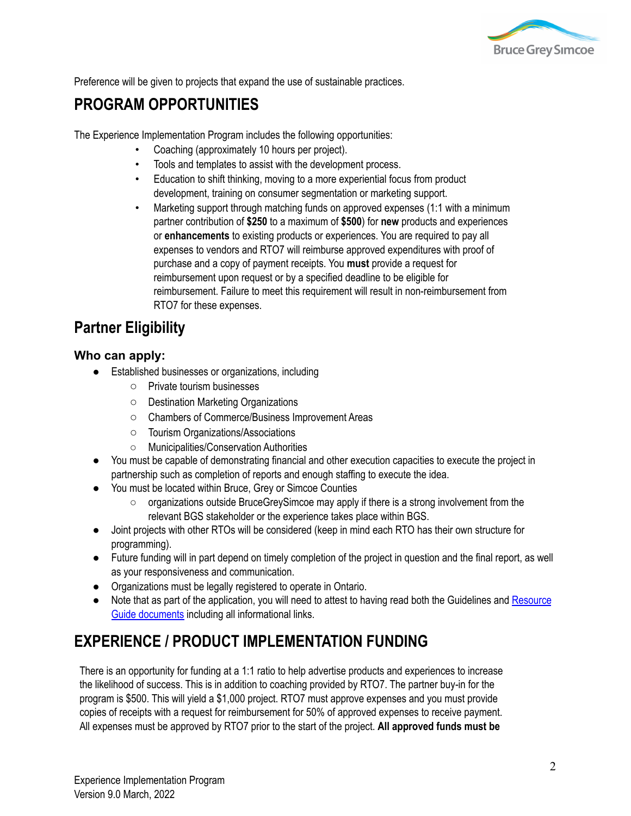

Preference will be given to projects that expand the use of sustainable practices.

## **PROGRAM OPPORTUNITIES**

The Experience Implementation Program includes the following opportunities:

- Coaching (approximately 10 hours per project).
- Tools and templates to assist with the development process.
- Education to shift thinking, moving to a more experiential focus from product development, training on consumer segmentation or marketing support.
- Marketing support through matching funds on approved expenses (1:1 with a minimum partner contribution of **\$250** to a maximum of **\$500**) for **new** products and experiences or **enhancements** to existing products or experiences. You are required to pay all expenses to vendors and RTO7 will reimburse approved expenditures with proof of purchase and a copy of payment receipts. You **must** provide a request for reimbursement upon request or by a specified deadline to be eligible for reimbursement. Failure to meet this requirement will result in non-reimbursement from RTO7 for these expenses.

# **Partner Eligibility**

## **Who can apply:**

- Established businesses or organizations, including
	- Private tourism businesses
	- Destination Marketing Organizations
	- Chambers of Commerce/Business Improvement Areas
	- Tourism Organizations/Associations
	- Municipalities/Conservation Authorities
- You must be capable of demonstrating financial and other execution capacities to execute the project in partnership such as completion of reports and enough staffing to execute the idea.
- You must be located within Bruce, Grey or Simcoe Counties
	- organizations outside BruceGreySimcoe may apply if there is a strong involvement from the relevant BGS stakeholder or the experience takes place within BGS.
- Joint projects with other RTOs will be considered (keep in mind each RTO has their own structure for programming).
- Future funding will in part depend on timely completion of the project in question and the final report, as well as your responsiveness and communication.
- Organizations must be legally registered to operate in Ontario.
- Note that as part of the application, you will need to attest to having read both the Guidelines and [Resource](http://cms.rto7.ca/Public/Programs/Resource-Guide) Guide [documents](http://cms.rto7.ca/Public/Programs/Resource-Guide) including all informational links.

# **EXPERIENCE / PRODUCT IMPLEMENTATION FUNDING**

There is an opportunity for funding at a 1:1 ratio to help advertise products and experiences to increase the likelihood of success. This is in addition to coaching provided by RTO7. The partner buy-in for the program is \$500. This will yield a \$1,000 project. RTO7 must approve expenses and you must provide copies of receipts with a request for reimbursement for 50% of approved expenses to receive payment. All expenses must be approved by RTO7 prior to the start of the project. **All approved funds must be**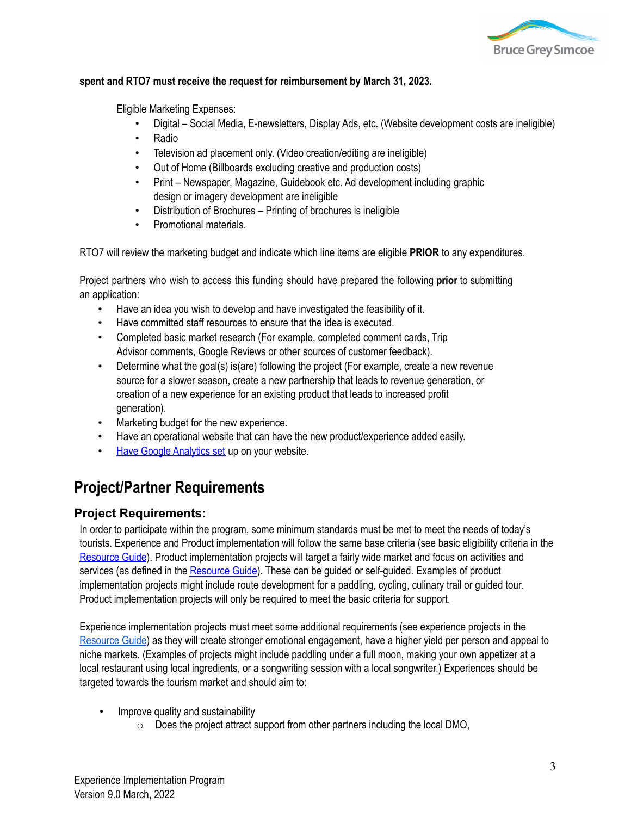

### **spent and RTO7 must receive the request for reimbursement by March 31, 2023.**

Eligible Marketing Expenses:

- Digital Social Media, E-newsletters, Display Ads, etc. (Website development costs are ineligible)
- Radio
- Television ad placement only. (Video creation/editing are ineligible)
- Out of Home (Billboards excluding creative and production costs)
- Print Newspaper, Magazine, Guidebook etc. Ad development including graphic design or imagery development are ineligible
- Distribution of Brochures Printing of brochures is ineligible
- Promotional materials.

RTO7 will review the marketing budget and indicate which line items are eligible **PRIOR** to any expenditures.

Project partners who wish to access this funding should have prepared the following **prior** to submitting an application:

- Have an idea you wish to develop and have investigated the feasibility of it.
- Have committed staff resources to ensure that the idea is executed.
- Completed basic market research (For example, completed comment cards, Trip Advisor comments, Google Reviews or other sources of customer feedback).
- Determine what the goal(s) is(are) following the project (For example, create a new revenue source for a slower season, create a new partnership that leads to revenue generation, or creation of a new experience for an existing product that leads to increased profit generation).
- Marketing budget for the new experience.
- Have an operational website that can have the new product/experience added easily.
- **Have Google [Analytics](http://cms.rto7.ca/Public/Programs/Resource-Guide#HowSetUpGA) set up on your website.**

## **Project/Partner Requirements**

## **Project Requirements:**

In order to participate within the program, some minimum standards must be met to meet the needs of today's tourists. Experience and Product implementation will follow the same base criteria (see basic eligibility criteria in the [Resource](https://rto7.ca/Public/Resources/Resource-Guide#RTOExperienceProjects) Guide). Product implementation projects will target a fairly wide market and focus on activities and services (as defined in the [Resource](https://rto7.ca/Public/Resources/Resource-Guide#TargetMarket&Activities) Guide). These can be quided or self-quided. Examples of product implementation projects might include route development for a paddling, cycling, culinary trail or guided tour. Product implementation projects will only be required to meet the basic criteria for support.

Experience implementation projects must meet some additional requirements (see experience projects in the [Resource](http://cms.rto7.ca/Public/Programs/Resource-Guide#RTOExperienceProjects) Guide) as they will create stronger emotional engagement, have a higher yield per person and appeal to niche markets. (Examples of projects might include paddling under a full moon, making your own appetizer at a local restaurant using local ingredients, or a songwriting session with a local songwriter.) Experiences should be targeted towards the tourism market and should aim to:

- Improve quality and sustainability
	- o Does the project attract support from other partners including the local DMO,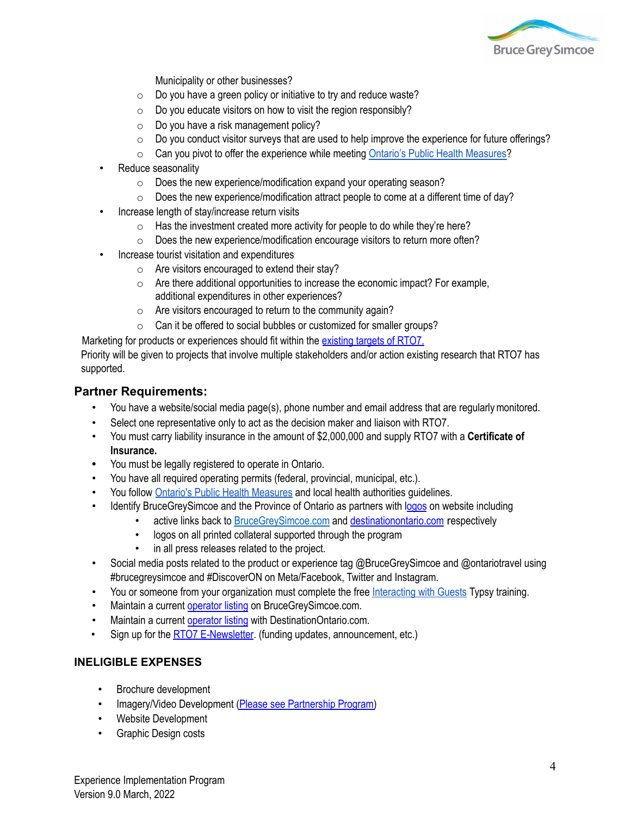

Municipality or other businesses?

- $\circ$  Do you have a green policy or initiative to try and reduce waste?
- $\circ$  Do you educate visitors on how to visit the region responsibly?
- o Do you have a risk management policy?
- $\circ$  Do you conduct visitor surveys that are used to help improve the experience for future offerings?
- o Can you pivot to offer the experience while meeting Ontario's Public Health [Measures?](https://covid-19.ontario.ca/covid-19-help-businesses-ontario)
- Reduce seasonality
	- o Does the new experience/modification expand your operating season?
	- o Does the new experience/modification attract people to come at a different time of day?
- Increase length of stay/increase return visits
	- $\circ$  Has the investment created more activity for people to do while they're here?
	- o Does the new experience/modification encourage visitors to return more often?
- Increase tourist visitation and expenditures
	- $\circ$  Are visitors encouraged to extend their stay?
	- $\circ$  Are there additional opportunities to increase the economic impact? For example, additional expenditures in other experiences?
	- o Are visitors encouraged to return to the community again?
	- o Can it be offered to social bubbles or customized for smaller groups?

Marketing for products or experiences should fit within the [existing](https://rto7.ca/Public/Programs/Resource-Guide-en#GeoTargets) targets of RTO7. Priority will be given to projects that involve multiple stakeholders and/or action existing research that RTO7 has supported.

## **Partner Requirements:**

- You have a website/social media page(s), phone number and email address that are regularlymonitored.
- Select one representative only to act as the decision maker and liaison with RTO7.
- You must carry liability insurance in the amount of \$2,000,000 and supply RTO7 with a **Certificate of Insurance.**
- **•** You must be legally registered to operate in Ontario.
- You have all required operating permits (federal, provincial, municipal, etc.).
- You follow Ontario's Public Health [Measures](https://covid-19.ontario.ca/public-health-measures#returning-to-our-plan-to-safely-reopen-ontario) and local health authorities guidelines.
- Identify BruceGreySimcoe and the Province of Ontario as partners with l[ogos](https://rto7.ca/Public/Programs/Resource-Guide-en#BGS&OntarioLogos) on website including
	- active links back to [BruceGreySimcoe.com](http://brucegreysimcoe.com) and [destinationontario.com](http://www.destinationontario.com/) respectively
	- logos on all printed collateral supported through the program
	- in all press releases related to the project.
- Social media posts related to the product or experience tag @BruceGreySimcoe and @ontariotravel using #brucegreysimcoe and #DiscoverON on Meta/Facebook, Twitter and Instagram.
- You or someone from your organization must complete the free [Interacting](https://rto7.ca/Public/Programs/BruceGreySimcoe-Free-Training) with Guests Typsy training.
- Maintain a current [operator](https://brucegreysimcoe.com/special-pages/operatormanagement/login) listing on BruceGreySimcoe.com.
- Maintain a current [operator](https://docs.google.com/forms/d/e/1FAIpQLScKFv0w0rI5-M993TGqN_i0MsqrPizHB8I5gNO6WWEKgd6Qng/viewform) listing with DestinationOntario.com.
- Sign up for the **RTO7 [E-Newsletter](http://rto7.ca/Public/Special-Pages/Mailing-List-Signup)**. (funding updates, announcement, etc.)

## **INELIGIBLE EXPENSES**

- Brochure development
- Imagery/Video Development (Please see [Partnership](https://rto7.ca/Public/Programs/Partnership-Program) Program)
- Website Development
- Graphic Design costs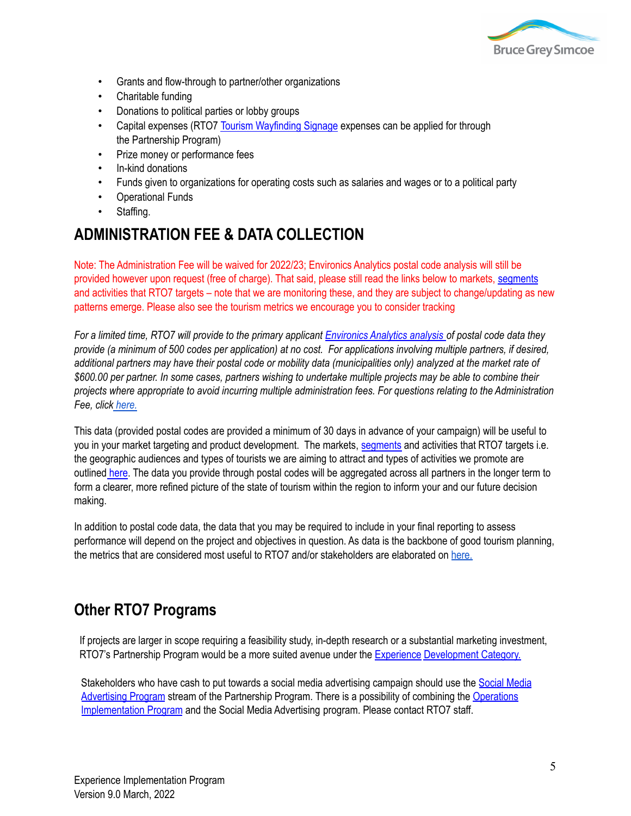

- Grants and flow-through to partner/other organizations
- Charitable funding
- Donations to political parties or lobby groups
- Capital expenses (RTO7 Tourism [Wayfinding](https://rto7.ca/Public/Programs/Partnership-Program) Signage expenses can be applied for through the Partnership Program)
- Prize money or performance fees
- In-kind donations
- Funds given to organizations for operating costs such as salaries and wages or to a political party
- Operational Funds
- Staffing.

# **ADMINISTRATION FEE & DATA COLLECTION**

Note: The Administration Fee will be waived for 2022/23; Environics Analytics postal code analysis will still be provided however upon request (free of charge). That said, please still read the links below to markets, [segments](https://rto7.ca/Public/Programs/Resource-Guide#RTO7PrizmSegments) and activities that RTO7 targets – note that we are monitoring these, and they are subject to change/updating as new patterns emerge. Please also see the tourism metrics we encourage you to consider tracking

For a limited time, RTO7 will provide to the primary applicant [Environics](https://rto7.ca/Documents/Public/Partnership-Funding-Projects/Sample-Prizm-Report) Analytics analysis of postal code data they provide (a minimum of 500 codes per application) at no cost. For applications involving multiple partners, if desired, additional partners may have their postal code or mobility data (municipalities only) analyzed at the market rate of \$600.00 per partner. In some cases, partners wishing to undertake multiple projects may be able to combine their projects where appropriate to avoid incurring multiple administration fees. For questions relating to the Administration *Fee, click [here.](http://cms.rto7.ca/Public/Resources/Resource-Guide#AdminFeeFAQ)*

This data (provided postal codes are provided a minimum of 30 days in advance of your campaign) will be useful to you in your market targeting and product development. The markets, [segments](https://rto7.ca/Public/Programs/Resource-Guide#RTO7PrizmSegments) and activities that RTO7 targets i.e. the geographic audiences and types of tourists we are aiming to attract and types of activities we promote are outlined [here](https://rto7.ca/Public/Resources/Resource-Guide#Activities). The data you provide through postal codes will be aggregated across all partners in the longer term to form a clearer, more refined picture of the state of tourism within the region to inform your and our future decision making.

In addition to postal code data, the data that you may be required to include in your final reporting to assess performance will depend on the project and objectives in question. As data is the backbone of good tourism planning, the metrics that are considered most useful to RTO7 and/or stakeholders are elaborated on [here.](https://rto7.ca/Public/Resources/Resource-Guide#WhyCollectThisInfo)

# **Other RTO7 Programs**

If projects are larger in scope requiring a feasibility study, in-depth research or a substantial marketing investment, RTO7's Partnership Program would be a more suited avenue under the [Experience](http://rto7.ca/Public/Resources/Partnership-Program) [Development](http://rto7.ca/Public/Resources/Partnership-Program) Category.

Stakeholders who have cash to put towards a social media advertising campaign should use the Social [Media](https://rto7.ca/Public/Programs/Partnership-Program) [Advertising](https://rto7.ca/Public/Programs/Partnership-Program) Program stream of the Partnership Program. There is a possibility of combining the [Operations](https://rto7.ca/Public/Programs/Operations-Implementation-Program) [Implementation](https://rto7.ca/Public/Programs/Operations-Implementation-Program) Program and the Social Media Advertising program. Please contact RTO7 staff.